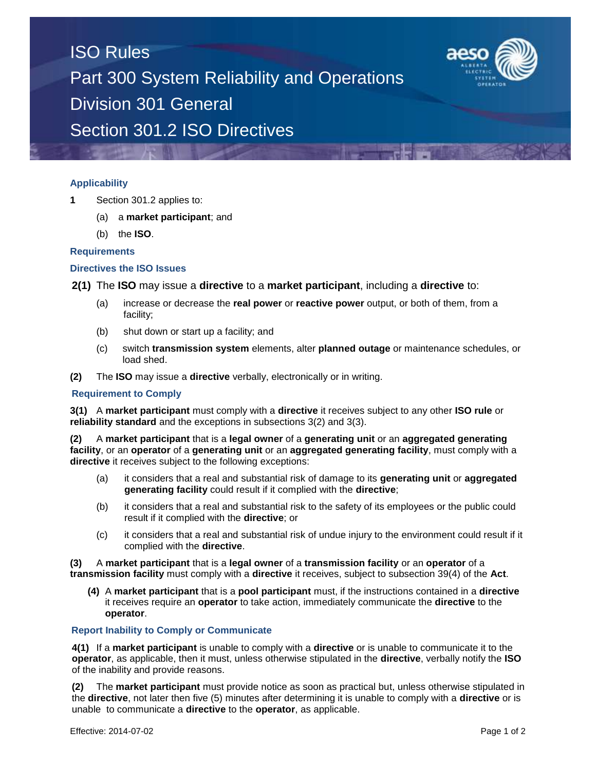

## **Applicability**

- **1** Section 301.2 applies to:
	- (a) a **market participant**; and
	- (b) the **ISO**.

#### **Requirements**

### **Directives the ISO Issues**

**2(1)** The **ISO** may issue a **directive** to a **market participant**, including a **directive** to:

- (a) increase or decrease the **real power** or **reactive power** output, or both of them, from a facility;
- (b) shut down or start up a facility; and
- (c) switch **transmission system** elements, alter **planned outage** or maintenance schedules, or load shed.
- **(2)** The **ISO** may issue a **directive** verbally, electronically or in writing.

#### **Requirement to Comply**

**3(1)** A **market participant** must comply with a **directive** it receives subject to any other **ISO rule** or **reliability standard** and the exceptions in subsections 3(2) and 3(3).

**(2)** A **market participant** that is a **legal owner** of a **generating unit** or an **aggregated generating facility**, or an **operator** of a **generating unit** or an **aggregated generating facility**, must comply with a **directive** it receives subject to the following exceptions:

- (a) it considers that a real and substantial risk of damage to its **generating unit** or **aggregated generating facility** could result if it complied with the **directive**;
- (b) it considers that a real and substantial risk to the safety of its employees or the public could result if it complied with the **directive**; or
- (c) it considers that a real and substantial risk of undue injury to the environment could result if it complied with the **directive**.

**(3)** A **market participant** that is a **legal owner** of a **transmission facility** or an **operator** of a **transmission facility** must comply with a **directive** it receives, subject to subsection 39(4) of the **Act**.

**(4)** A **market participant** that is a **pool participant** must, if the instructions contained in a **directive** it receives require an **operator** to take action, immediately communicate the **directive** to the **operator**.

#### **Report Inability to Comply or Communicate**

**4(1)** If a **market participant** is unable to comply with a **directive** or is unable to communicate it to the **operator**, as applicable, then it must, unless otherwise stipulated in the **directive**, verbally notify the **ISO** of the inability and provide reasons.

**(2)** The **market participant** must provide notice as soon as practical but, unless otherwise stipulated in the **directive**, not later then five (5) minutes after determining it is unable to comply with a **directive** or is unable to communicate a **directive** to the **operator**, as applicable.